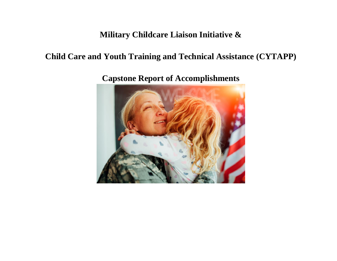## **Military Childcare Liaison Initiative &**

## **Child Care and Youth Training and Technical Assistance (CYTAPP)**

**Capstone Report of Accomplishments**

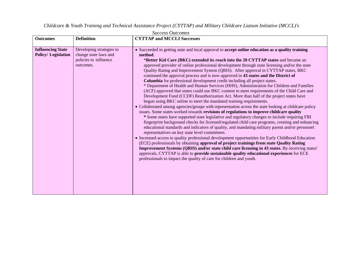*Childcare & Youth Training and Technical Assistance Project (CYTTAP) and Military Childcare Liaison Initiative (MCCL)'s*

| <b>Outcomes</b>                                       | <b>Definition</b>                                                                       | <b>CYTTAP and MCCLI Successes</b>                                                                                                                                                                                                                                                                                                                                                                                                                                                                                                                                                                                                                                                                                                                                                                                                                                                                                                                                                                                                                                                                                                                                                                                                                                                                                                                                                                                                                                                                                                                                                                                                                                                                                                                                                                                                                                                                                                                                       |
|-------------------------------------------------------|-----------------------------------------------------------------------------------------|-------------------------------------------------------------------------------------------------------------------------------------------------------------------------------------------------------------------------------------------------------------------------------------------------------------------------------------------------------------------------------------------------------------------------------------------------------------------------------------------------------------------------------------------------------------------------------------------------------------------------------------------------------------------------------------------------------------------------------------------------------------------------------------------------------------------------------------------------------------------------------------------------------------------------------------------------------------------------------------------------------------------------------------------------------------------------------------------------------------------------------------------------------------------------------------------------------------------------------------------------------------------------------------------------------------------------------------------------------------------------------------------------------------------------------------------------------------------------------------------------------------------------------------------------------------------------------------------------------------------------------------------------------------------------------------------------------------------------------------------------------------------------------------------------------------------------------------------------------------------------------------------------------------------------------------------------------------------------|
| <b>Influencing State</b><br><b>Policy/Legislation</b> | Developing strategies to<br>change state laws and<br>policies to influence<br>outcomes. | • Succeeded in getting state and local approval to accept online education as a quality training<br>method.<br>*Better Kid Care (BKC) extended its reach into the 20 CYTTAP states and became an<br>approved provider of online professional development through state licensing and/or the state<br>Quality Rating and Improvement System (QRIS). After approval in CYTTAP states, BKC<br>continued the approval process and is now approved in 43 states and the District of<br>Columbia for professional development credit including all project states.<br>* Department of Health and Human Services (HHS), Administration for Children and Families<br>(ACF) approved that states could use BKC content to meet requirements of the Child Care and<br>Development Fund (CCDF) Reauthorization Act. More than half of the project states have<br>begun using BKC online to meet the mandated training requirements.<br>• Collaborated among agencies/groups with representation across the state looking at childcare policy<br>issues. Some states worked towards revisions of regulations to improve childcare quality<br>* Some states have supported state legislative and regulatory changes to include requiring FBI<br>fingerprint background checks for licensed/regulated child care programs, creating and enhancing<br>educational standards and indicators of quality, and mandating military parent and/or personnel<br>representatives on key state level committees.<br>• Increased access to quality professional development opportunities for Early Childhood Education<br>(ECE) professionals by obtaining approval of project trainings from state Quality Rating<br>Improvement Systems (QRIS) and/or state child care licensing in 43 states. By receiving states'<br>approvals, CYTTAP is able to <b>provide sustainable quality educational experiences</b> for ECE<br>professionals to impact the quality of care for children and youth. |

*Success Outcomes*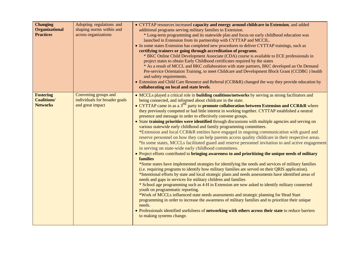| <b>Changing</b><br><b>Organizational</b><br><b>Practices</b> | Adopting regulations and<br>shaping norms within and<br>across organizations | • CYTTAP resources increased capacity and energy around childcare in Extension, and added<br>additional programs serving military families to Extension.<br>* Long-term programming and its statewide plan and focus on early childhood education was<br>launched in Extension from its partnership with CYTTAP and MCCIL.<br>• In some states Extension has completed new procedures to deliver CYTTAP trainings, such as<br>certifying trainers or going through accreditation of programs.<br>* BKC Online Child Development Associate (CDA) course is available to ECE professionals in<br>project states to obtain Early Childhood certificates required by the states<br>* As a result of MCCL and BKC collaboration with state partners, BKC developed an On Demand<br>Pre-service Orientation Training, to meet Childcare and Development Block Grant (CCDBG) health<br>and safety requirements.<br>• Extension and Child Care Resource and Referral (CCR&R) changed the way they provide education by<br>collaborating on local and state levels.                                                                                                                                                                                                                                                                                                                                                                                                                                                                                                                                                                                                                                                                                                                                                                                                                                                                                                                                                               |
|--------------------------------------------------------------|------------------------------------------------------------------------------|--------------------------------------------------------------------------------------------------------------------------------------------------------------------------------------------------------------------------------------------------------------------------------------------------------------------------------------------------------------------------------------------------------------------------------------------------------------------------------------------------------------------------------------------------------------------------------------------------------------------------------------------------------------------------------------------------------------------------------------------------------------------------------------------------------------------------------------------------------------------------------------------------------------------------------------------------------------------------------------------------------------------------------------------------------------------------------------------------------------------------------------------------------------------------------------------------------------------------------------------------------------------------------------------------------------------------------------------------------------------------------------------------------------------------------------------------------------------------------------------------------------------------------------------------------------------------------------------------------------------------------------------------------------------------------------------------------------------------------------------------------------------------------------------------------------------------------------------------------------------------------------------------------------------------------------------------------------------------------------------------------------------------|
| <b>Fostering</b><br><b>Coalitions/</b><br><b>Networks</b>    | Convening groups and<br>individuals for broader goals<br>and great impact    | • MCCLs played a critical role in <b>building coalitions/networks</b> by serving as strong facilitators and<br>being connected, and informed about childcare in the state.<br>• CYTTAP came in as a $3^{rd}$ party to <b>promote collaboration between Extension and CCR&amp;R</b> where<br>they previously competed or had little interest in working together. CYTTAP established a neutral<br>presence and message in order to effectively convene groups.<br>• State training priorities were identified through discussions with multiple agencies and serving on<br>various statewide early childhood and family programming committees.<br>*Extension and local CCR&R entities have engaged in ongoing communication with guard and<br>reserve personnel on how they can help parents access quality childcare in their respective areas.<br>*In some states, MCCLs facilitated guard and reserve personnel invitation to and active engagement<br>in serving on state-wide early childhood committees.<br>• Project efforts contributed to bringing awareness to and prioritizing the unique needs of military<br><b>families</b><br>*Some states have implemented strategies for identifying the needs and services of military families<br>(i.e. requiring programs to identify how military families are served on their QRIS application).<br>*Intentional efforts by state and local strategic plans and needs assessments have identified areas of<br>needs and gaps in services for military children and families<br>* School age programming such as 4-H in Extension are now asked to identify military connected<br>youth on programmatic reporting.<br>*Work of MCCLs influenced state needs assessments and strategic planning for Head Start<br>programming in order to increase the awareness of military families and to prioritize their unique<br>needs.<br>• Professionals identified usefulness of networking with others across their state to reduce barriers<br>to making systems change. |